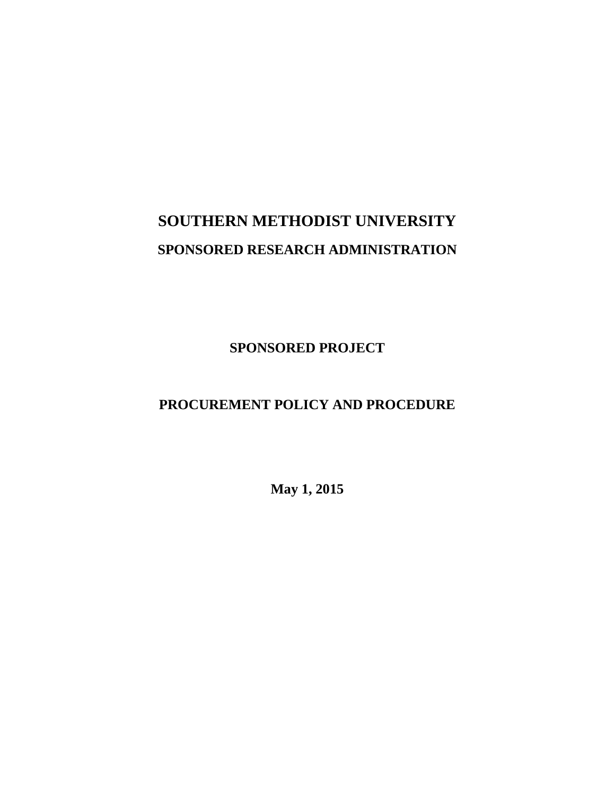# **SOUTHERN METHODIST UNIVERSITY SPONSORED RESEARCH ADMINISTRATION**

**SPONSORED PROJECT**

# **PROCUREMENT POLICY AND PROCEDURE**

**May 1, 2015**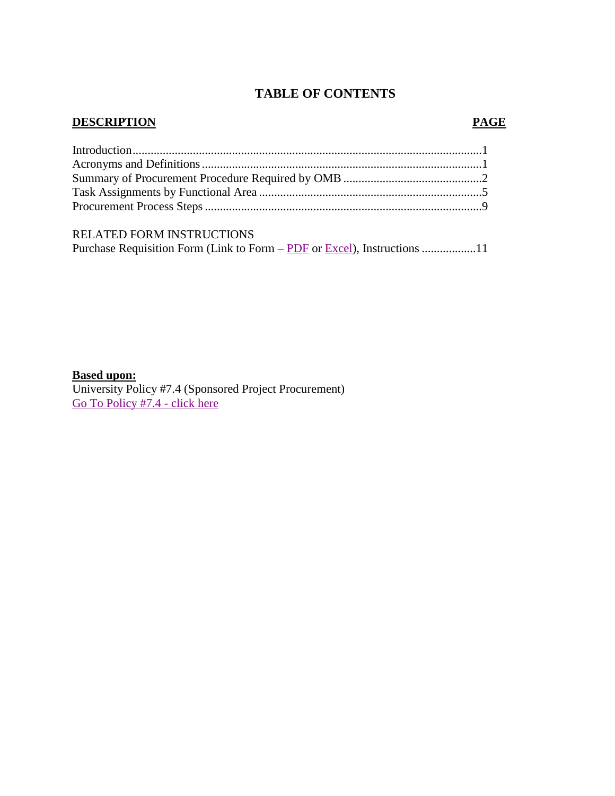# **TABLE OF CONTENTS**

#### **DESCRIPTION PAGE**

| RELATED FORM INSTRUCTIONS |  |
|---------------------------|--|

Purchase Requisition Form (Link to Form – [PDF](http://www.smu.edu/~/media/Site/BusinessFinance/Controllers/Purchasing/Grant_Pur_Req_Form_PDF.ashx?la=en) or [Excel\)](http://www.smu.edu/~/media/Site/BusinessFinance/Controllers/Purchasing/Grant_Pur_Req_Form_XLS.ashx?la=en), Instructions ..................11

# **Based upon:**

University Policy #7.4 (Sponsored Project Procurement) [Go To Policy #7.4 -](https://inside.smu.edu/OS/OrgHome/LegalAffairs/Policy/SitePages/7.4%20Sponsored%20Project%20Procurement.aspx) click here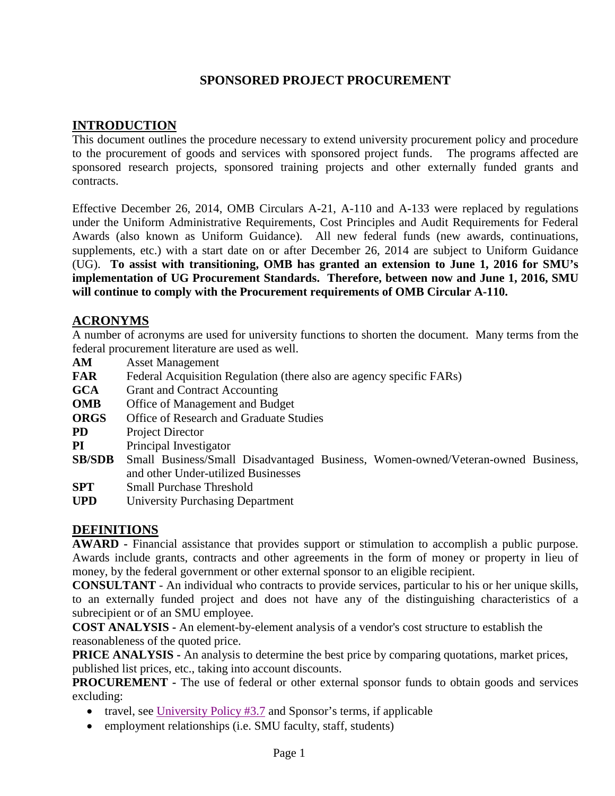## **SPONSORED PROJECT PROCUREMENT**

# **INTRODUCTION**

This document outlines the procedure necessary to extend university procurement policy and procedure to the procurement of goods and services with sponsored project funds. The programs affected are sponsored research projects, sponsored training projects and other externally funded grants and contracts.

Effective December 26, 2014, OMB Circulars A-21, A-110 and A-133 were replaced by regulations under the Uniform Administrative Requirements, Cost Principles and Audit Requirements for Federal Awards (also known as Uniform Guidance). All new federal funds (new awards, continuations, supplements, etc.) with a start date on or after December 26, 2014 are subject to Uniform Guidance (UG). **To assist with transitioning, OMB has granted an extension to June 1, 2016 for SMU's implementation of UG Procurement Standards. Therefore, between now and June 1, 2016, SMU will continue to comply with the Procurement requirements of OMB Circular A-110.**

#### **ACRONYMS**

A number of acronyms are used for university functions to shorten the document. Many terms from the federal procurement literature are used as well.

- **AM** Asset Management
- **FAR** Federal Acquisition Regulation (there also are agency specific FARs)
- **GCA** Grant and Contract Accounting
- **OMB** Office of Management and Budget
- **ORGS** Office of Research and Graduate Studies
- **PD** Project Director
- **PI** Principal Investigator
- **SB/SDB** Small Business/Small Disadvantaged Business, Women-owned/Veteran-owned Business, and other Under-utilized Businesses
- **SPT** Small Purchase Threshold
- **UPD** University Purchasing Department

## **DEFINITIONS**

**AWARD -** Financial assistance that provides support or stimulation to accomplish a public purpose. Awards include grants, contracts and other agreements in the form of money or property in lieu of money, by the federal government or other external sponsor to an eligible recipient.

**CONSULTANT** - An individual who contracts to provide services, particular to his or her unique skills, to an externally funded project and does not have any of the distinguishing characteristics of a subrecipient or of an SMU employee.

**COST ANALYSIS -** An element-by-element analysis of a vendor's cost structure to establish the reasonableness of the quoted price.

**PRICE ANALYSIS -** An analysis to determine the best price by comparing quotations, market prices, published list prices, etc., taking into account discounts.

**PROCUREMENT -** The use of federal or other external sponsor funds to obtain goods and services excluding:

- travel, see University Policy  $#3.7$  and Sponsor's terms, if applicable
- employment relationships (i.e. SMU faculty, staff, students)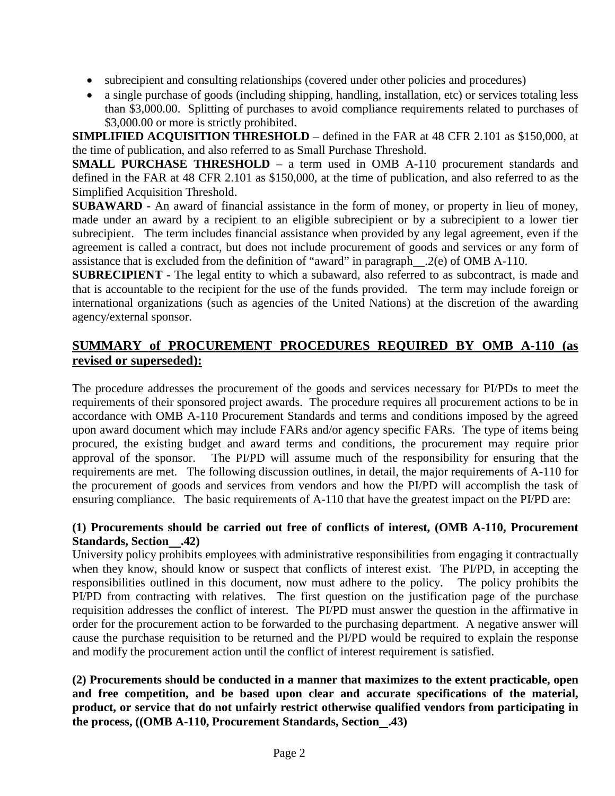- subrecipient and consulting relationships (covered under other policies and procedures)
- a single purchase of goods (including shipping, handling, installation, etc) or services totaling less than \$3,000.00. Splitting of purchases to avoid compliance requirements related to purchases of \$3,000.00 or more is strictly prohibited.

**SIMPLIFIED ACQUISITION THRESHOLD** – defined in the FAR at 48 CFR 2.101 as \$150,000, at the time of publication, and also referred to as Small Purchase Threshold.

**SMALL PURCHASE THRESHOLD** – a term used in OMB A-110 procurement standards and defined in the FAR at 48 CFR 2.101 as \$150,000, at the time of publication, and also referred to as the Simplified Acquisition Threshold.

**SUBAWARD -** An award of financial assistance in the form of money, or property in lieu of money, made under an award by a recipient to an eligible subrecipient or by a subrecipient to a lower tier subrecipient. The term includes financial assistance when provided by any legal agreement, even if the agreement is called a contract, but does not include procurement of goods and services or any form of assistance that is excluded from the definition of "award" in paragraph .2(e) of OMB A-110.

**SUBRECIPIENT -** The legal entity to which a subaward, also referred to as subcontract, is made and that is accountable to the recipient for the use of the funds provided. The term may include foreign or international organizations (such as agencies of the United Nations) at the discretion of the awarding agency/external sponsor.

# **SUMMARY of PROCUREMENT PROCEDURES REQUIRED BY OMB A-110 (as revised or superseded):**

The procedure addresses the procurement of the goods and services necessary for PI/PDs to meet the requirements of their sponsored project awards. The procedure requires all procurement actions to be in accordance with OMB A-110 Procurement Standards and terms and conditions imposed by the agreed upon award document which may include FARs and/or agency specific FARs. The type of items being procured, the existing budget and award terms and conditions, the procurement may require prior approval of the sponsor. The PI/PD will assume much of the responsibility for ensuring that the requirements are met. The following discussion outlines, in detail, the major requirements of A-110 for the procurement of goods and services from vendors and how the PI/PD will accomplish the task of ensuring compliance. The basic requirements of A-110 that have the greatest impact on the PI/PD are:

### **(1) Procurements should be carried out free of conflicts of interest, (OMB A-110, Procurement Standards, Section .42)**

University policy prohibits employees with administrative responsibilities from engaging it contractually when they know, should know or suspect that conflicts of interest exist. The PI/PD, in accepting the responsibilities outlined in this document, now must adhere to the policy. The policy prohibits the PI/PD from contracting with relatives. The first question on the justification page of the purchase requisition addresses the conflict of interest. The PI/PD must answer the question in the affirmative in order for the procurement action to be forwarded to the purchasing department. A negative answer will cause the purchase requisition to be returned and the PI/PD would be required to explain the response and modify the procurement action until the conflict of interest requirement is satisfied.

**(2) Procurements should be conducted in a manner that maximizes to the extent practicable, open and free competition, and be based upon clear and accurate specifications of the material, product, or service that do not unfairly restrict otherwise qualified vendors from participating in the process, ((OMB A-110, Procurement Standards, Section .43)**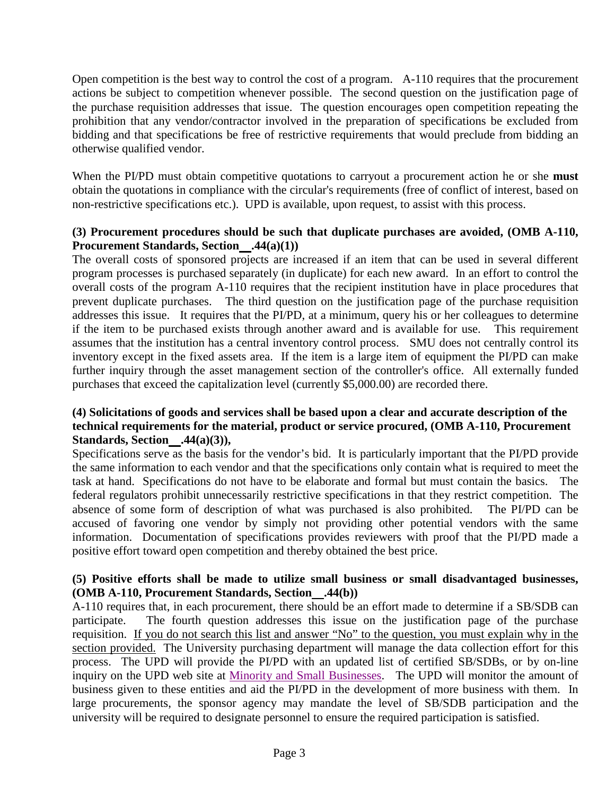Open competition is the best way to control the cost of a program. A-110 requires that the procurement actions be subject to competition whenever possible. The second question on the justification page of the purchase requisition addresses that issue. The question encourages open competition repeating the prohibition that any vendor/contractor involved in the preparation of specifications be excluded from bidding and that specifications be free of restrictive requirements that would preclude from bidding an otherwise qualified vendor.

When the PI/PD must obtain competitive quotations to carryout a procurement action he or she **must** obtain the quotations in compliance with the circular's requirements (free of conflict of interest, based on non-restrictive specifications etc.). UPD is available, upon request, to assist with this process.

#### **(3) Procurement procedures should be such that duplicate purchases are avoided, (OMB A-110, Procurement Standards, Section .44(a)(1))**

The overall costs of sponsored projects are increased if an item that can be used in several different program processes is purchased separately (in duplicate) for each new award. In an effort to control the overall costs of the program A-110 requires that the recipient institution have in place procedures that prevent duplicate purchases. The third question on the justification page of the purchase requisition addresses this issue. It requires that the PI/PD, at a minimum, query his or her colleagues to determine if the item to be purchased exists through another award and is available for use. This requirement assumes that the institution has a central inventory control process. SMU does not centrally control its inventory except in the fixed assets area. If the item is a large item of equipment the PI/PD can make further inquiry through the asset management section of the controller's office. All externally funded purchases that exceed the capitalization level (currently \$5,000.00) are recorded there.

#### **(4) Solicitations of goods and services shall be based upon a clear and accurate description of the technical requirements for the material, product or service procured, (OMB A-110, Procurement Standards, Section .44(a)(3)),**

Specifications serve as the basis for the vendor's bid. It is particularly important that the PI/PD provide the same information to each vendor and that the specifications only contain what is required to meet the task at hand. Specifications do not have to be elaborate and formal but must contain the basics. The federal regulators prohibit unnecessarily restrictive specifications in that they restrict competition. The absence of some form of description of what was purchased is also prohibited. The PI/PD can be accused of favoring one vendor by simply not providing other potential vendors with the same information. Documentation of specifications provides reviewers with proof that the PI/PD made a positive effort toward open competition and thereby obtained the best price.

#### **(5) Positive efforts shall be made to utilize small business or small disadvantaged businesses, (OMB A-110, Procurement Standards, Section .44(b))**

A-110 requires that, in each procurement, there should be an effort made to determine if a SB/SDB can participate. The fourth question addresses this issue on the justification page of the purchase requisition. If you do not search this list and answer "No" to the question, you must explain why in the section provided. The University purchasing department will manage the data collection effort for this process. The UPD will provide the PI/PD with an updated list of certified SB/SDBs, or by on-line inquiry on the UPD web site at [Minority and Small Businesses.](http://www.smu.edu/~/media/Site/BusinessFinance/Controllers/Purchasing/Minority%20And%20Small%20Businesses.ashx?la=en) The UPD will monitor the amount of business given to these entities and aid the PI/PD in the development of more business with them. In large procurements, the sponsor agency may mandate the level of SB/SDB participation and the university will be required to designate personnel to ensure the required participation is satisfied.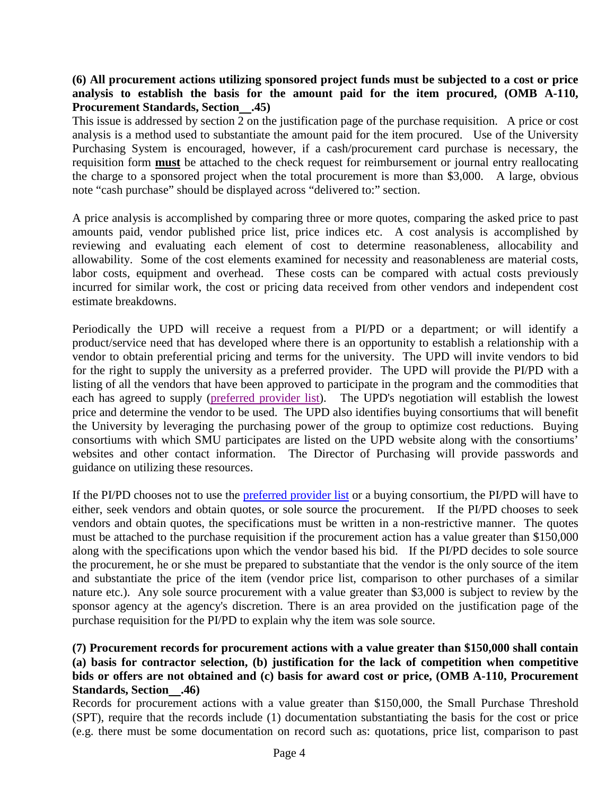#### **(6) All procurement actions utilizing sponsored project funds must be subjected to a cost or price analysis to establish the basis for the amount paid for the item procured, (OMB A-110, Procurement Standards, Section .45)**

This issue is addressed by section 2 on the justification page of the purchase requisition. A price or cost analysis is a method used to substantiate the amount paid for the item procured. Use of the University Purchasing System is encouraged, however, if a cash/procurement card purchase is necessary, the requisition form **must** be attached to the check request for reimbursement or journal entry reallocating the charge to a sponsored project when the total procurement is more than \$3,000. A large, obvious note "cash purchase" should be displayed across "delivered to:" section.

A price analysis is accomplished by comparing three or more quotes, comparing the asked price to past amounts paid, vendor published price list, price indices etc. A cost analysis is accomplished by reviewing and evaluating each element of cost to determine reasonableness, allocability and allowability. Some of the cost elements examined for necessity and reasonableness are material costs, labor costs, equipment and overhead. These costs can be compared with actual costs previously incurred for similar work, the cost or pricing data received from other vendors and independent cost estimate breakdowns.

Periodically the UPD will receive a request from a PI/PD or a department; or will identify a product/service need that has developed where there is an opportunity to establish a relationship with a vendor to obtain preferential pricing and terms for the university. The UPD will invite vendors to bid for the right to supply the university as a preferred provider. The UPD will provide the PI/PD with a listing of all the vendors that have been approved to participate in the program and the commodities that each has agreed to supply [\(preferred provider list\)](http://www.smu.edu/BusinessFinance/OfficeOfBudgetAndFinance/Purchasing/Suppliers/PreferredProvider). The UPD's negotiation will establish the lowest price and determine the vendor to be used. The UPD also identifies buying consortiums that will benefit the University by leveraging the purchasing power of the group to optimize cost reductions. Buying consortiums with which SMU participates are listed on the UPD website along with the consortiums' websites and other contact information. The Director of Purchasing will provide passwords and guidance on utilizing these resources.

If the PI/PD chooses not to use the [preferred provider list](http://www.smu.edu/BusinessFinance/OfficeOfBudgetAndFinance/Purchasing/Suppliers/PreferredProvider) or a buying consortium, the PI/PD will have to either, seek vendors and obtain quotes, or sole source the procurement. If the PI/PD chooses to seek vendors and obtain quotes, the specifications must be written in a non-restrictive manner. The quotes must be attached to the purchase requisition if the procurement action has a value greater than \$150,000 along with the specifications upon which the vendor based his bid. If the PI/PD decides to sole source the procurement, he or she must be prepared to substantiate that the vendor is the only source of the item and substantiate the price of the item (vendor price list, comparison to other purchases of a similar nature etc.). Any sole source procurement with a value greater than \$3,000 is subject to review by the sponsor agency at the agency's discretion. There is an area provided on the justification page of the purchase requisition for the PI/PD to explain why the item was sole source.

#### **(7) Procurement records for procurement actions with a value greater than \$150,000 shall contain (a) basis for contractor selection, (b) justification for the lack of competition when competitive bids or offers are not obtained and (c) basis for award cost or price, (OMB A-110, Procurement Standards, Section .46)**

Records for procurement actions with a value greater than \$150,000, the Small Purchase Threshold (SPT), require that the records include (1) documentation substantiating the basis for the cost or price (e.g. there must be some documentation on record such as: quotations, price list, comparison to past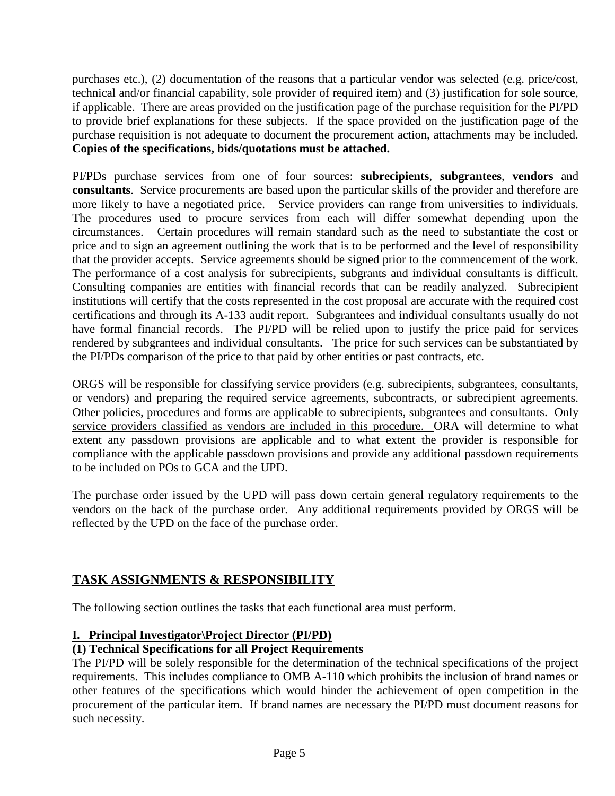purchases etc.), (2) documentation of the reasons that a particular vendor was selected (e.g. price/cost, technical and/or financial capability, sole provider of required item) and (3) justification for sole source, if applicable. There are areas provided on the justification page of the purchase requisition for the PI/PD to provide brief explanations for these subjects. If the space provided on the justification page of the purchase requisition is not adequate to document the procurement action, attachments may be included. **Copies of the specifications, bids/quotations must be attached.**

PI/PDs purchase services from one of four sources: **subrecipients**, **subgrantees**, **vendors** and **consultants**. Service procurements are based upon the particular skills of the provider and therefore are more likely to have a negotiated price. Service providers can range from universities to individuals. The procedures used to procure services from each will differ somewhat depending upon the circumstances. Certain procedures will remain standard such as the need to substantiate the cost or price and to sign an agreement outlining the work that is to be performed and the level of responsibility that the provider accepts. Service agreements should be signed prior to the commencement of the work. The performance of a cost analysis for subrecipients, subgrants and individual consultants is difficult. Consulting companies are entities with financial records that can be readily analyzed. Subrecipient institutions will certify that the costs represented in the cost proposal are accurate with the required cost certifications and through its A-133 audit report. Subgrantees and individual consultants usually do not have formal financial records. The PI/PD will be relied upon to justify the price paid for services rendered by subgrantees and individual consultants. The price for such services can be substantiated by the PI/PDs comparison of the price to that paid by other entities or past contracts, etc.

ORGS will be responsible for classifying service providers (e.g. subrecipients, subgrantees, consultants, or vendors) and preparing the required service agreements, subcontracts, or subrecipient agreements. Other policies, procedures and forms are applicable to subrecipients, subgrantees and consultants. Only service providers classified as vendors are included in this procedure. ORA will determine to what extent any passdown provisions are applicable and to what extent the provider is responsible for compliance with the applicable passdown provisions and provide any additional passdown requirements to be included on POs to GCA and the UPD.

The purchase order issued by the UPD will pass down certain general regulatory requirements to the vendors on the back of the purchase order. Any additional requirements provided by ORGS will be reflected by the UPD on the face of the purchase order.

# **TASK ASSIGNMENTS & RESPONSIBILITY**

The following section outlines the tasks that each functional area must perform.

#### **I. Principal Investigator\Project Director (PI/PD)**

### **(1) Technical Specifications for all Project Requirements**

The PI/PD will be solely responsible for the determination of the technical specifications of the project requirements. This includes compliance to OMB A-110 which prohibits the inclusion of brand names or other features of the specifications which would hinder the achievement of open competition in the procurement of the particular item. If brand names are necessary the PI/PD must document reasons for such necessity.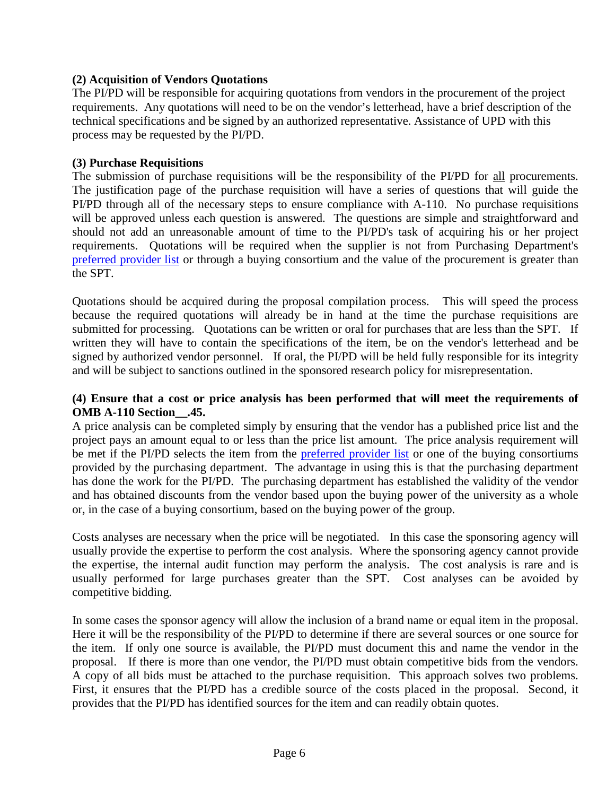#### **(2) Acquisition of Vendors Quotations**

The PI/PD will be responsible for acquiring quotations from vendors in the procurement of the project requirements. Any quotations will need to be on the vendor's letterhead, have a brief description of the technical specifications and be signed by an authorized representative. Assistance of UPD with this process may be requested by the PI/PD.

#### **(3) Purchase Requisitions**

The submission of purchase requisitions will be the responsibility of the PI/PD for all procurements. The justification page of the purchase requisition will have a series of questions that will guide the PI/PD through all of the necessary steps to ensure compliance with A-110. No purchase requisitions will be approved unless each question is answered. The questions are simple and straightforward and should not add an unreasonable amount of time to the PI/PD's task of acquiring his or her project requirements. Quotations will be required when the supplier is not from Purchasing Department's [preferred provider list](http://www.smu.edu/BusinessFinance/OfficeOfBudgetAndFinance/Purchasing/Suppliers/PreferredProvider) or through a buying consortium and the value of the procurement is greater than the SPT.

Quotations should be acquired during the proposal compilation process. This will speed the process because the required quotations will already be in hand at the time the purchase requisitions are submitted for processing. Quotations can be written or oral for purchases that are less than the SPT. If written they will have to contain the specifications of the item, be on the vendor's letterhead and be signed by authorized vendor personnel. If oral, the PI/PD will be held fully responsible for its integrity and will be subject to sanctions outlined in the sponsored research policy for misrepresentation.

#### **(4) Ensure that a cost or price analysis has been performed that will meet the requirements of OMB A-110 Section\_\_.45.**

A price analysis can be completed simply by ensuring that the vendor has a published price list and the project pays an amount equal to or less than the price list amount. The price analysis requirement will be met if the PI/PD selects the item from the [preferred provider list](http://www.smu.edu/BusinessFinance/OfficeOfBudgetAndFinance/Purchasing/Suppliers/PreferredProvider) or one of the buying consortiums provided by the purchasing department. The advantage in using this is that the purchasing department has done the work for the PI/PD. The purchasing department has established the validity of the vendor and has obtained discounts from the vendor based upon the buying power of the university as a whole or, in the case of a buying consortium, based on the buying power of the group.

Costs analyses are necessary when the price will be negotiated. In this case the sponsoring agency will usually provide the expertise to perform the cost analysis. Where the sponsoring agency cannot provide the expertise, the internal audit function may perform the analysis. The cost analysis is rare and is usually performed for large purchases greater than the SPT. Cost analyses can be avoided by competitive bidding.

In some cases the sponsor agency will allow the inclusion of a brand name or equal item in the proposal. Here it will be the responsibility of the PI/PD to determine if there are several sources or one source for the item. If only one source is available, the PI/PD must document this and name the vendor in the proposal. If there is more than one vendor, the PI/PD must obtain competitive bids from the vendors. A copy of all bids must be attached to the purchase requisition. This approach solves two problems. First, it ensures that the PI/PD has a credible source of the costs placed in the proposal. Second, it provides that the PI/PD has identified sources for the item and can readily obtain quotes.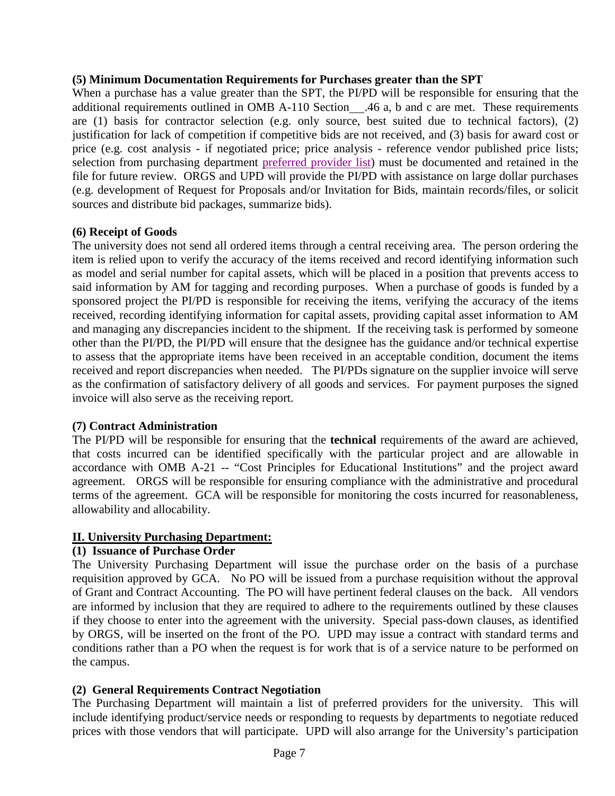#### **(5) Minimum Documentation Requirements for Purchases greater than the SPT**

When a purchase has a value greater than the SPT, the PI/PD will be responsible for ensuring that the additional requirements outlined in OMB A-110 Section .46 a, b and c are met. These requirements are (1) basis for contractor selection (e.g. only source, best suited due to technical factors), (2) justification for lack of competition if competitive bids are not received, and (3) basis for award cost or price (e.g. cost analysis - if negotiated price; price analysis - reference vendor published price lists; selection from purchasing department [preferred provider list\)](http://www.smu.edu/BusinessFinance/OfficeOfBudgetAndFinance/Purchasing/Suppliers/PreferredProvider) must be documented and retained in the file for future review. ORGS and UPD will provide the PI/PD with assistance on large dollar purchases (e.g. development of Request for Proposals and/or Invitation for Bids, maintain records/files, or solicit sources and distribute bid packages, summarize bids).

#### **(6) Receipt of Goods**

The university does not send all ordered items through a central receiving area. The person ordering the item is relied upon to verify the accuracy of the items received and record identifying information such as model and serial number for capital assets, which will be placed in a position that prevents access to said information by AM for tagging and recording purposes. When a purchase of goods is funded by a sponsored project the PI/PD is responsible for receiving the items, verifying the accuracy of the items received, recording identifying information for capital assets, providing capital asset information to AM and managing any discrepancies incident to the shipment. If the receiving task is performed by someone other than the PI/PD, the PI/PD will ensure that the designee has the guidance and/or technical expertise to assess that the appropriate items have been received in an acceptable condition, document the items received and report discrepancies when needed. The PI/PDs signature on the supplier invoice will serve as the confirmation of satisfactory delivery of all goods and services. For payment purposes the signed invoice will also serve as the receiving report.

#### **(7) Contract Administration**

The PI/PD will be responsible for ensuring that the **technical** requirements of the award are achieved, that costs incurred can be identified specifically with the particular project and are allowable in accordance with OMB A-21 -- "Cost Principles for Educational Institutions" and the project award agreement. ORGS will be responsible for ensuring compliance with the administrative and procedural terms of the agreement. GCA will be responsible for monitoring the costs incurred for reasonableness, allowability and allocability.

#### **II. University Purchasing Department:**

#### **(1) Issuance of Purchase Order**

The University Purchasing Department will issue the purchase order on the basis of a purchase requisition approved by GCA. No PO will be issued from a purchase requisition without the approval of Grant and Contract Accounting. The PO will have pertinent federal clauses on the back. All vendors are informed by inclusion that they are required to adhere to the requirements outlined by these clauses if they choose to enter into the agreement with the university. Special pass-down clauses, as identified by ORGS, will be inserted on the front of the PO. UPD may issue a contract with standard terms and conditions rather than a PO when the request is for work that is of a service nature to be performed on the campus.

#### **(2) General Requirements Contract Negotiation**

The Purchasing Department will maintain a list of preferred providers for the university. This will include identifying product/service needs or responding to requests by departments to negotiate reduced prices with those vendors that will participate. UPD will also arrange for the University's participation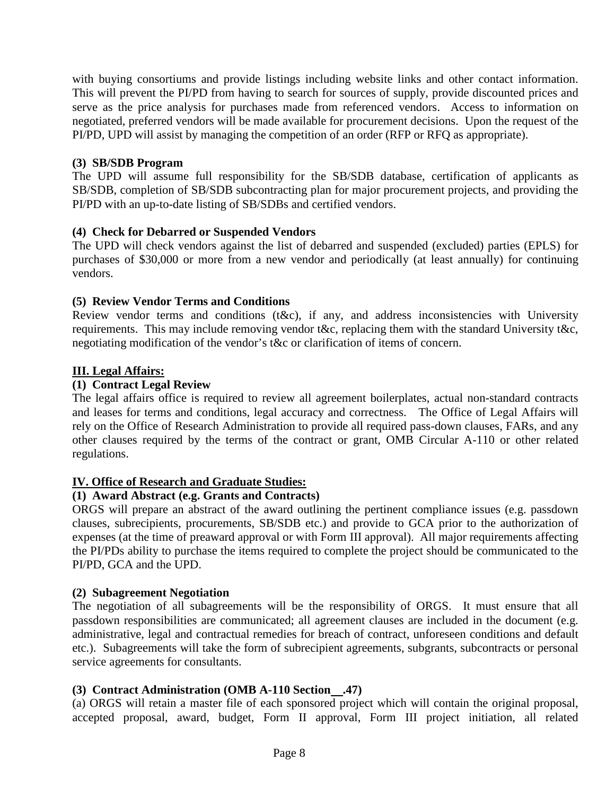with buying consortiums and provide listings including website links and other contact information. This will prevent the PI/PD from having to search for sources of supply, provide discounted prices and serve as the price analysis for purchases made from referenced vendors. Access to information on negotiated, preferred vendors will be made available for procurement decisions. Upon the request of the PI/PD, UPD will assist by managing the competition of an order (RFP or RFQ as appropriate).

#### **(3) SB/SDB Program**

The UPD will assume full responsibility for the SB/SDB database, certification of applicants as SB/SDB, completion of SB/SDB subcontracting plan for major procurement projects, and providing the PI/PD with an up-to-date listing of SB/SDBs and certified vendors.

#### **(4) Check for Debarred or Suspended Vendors**

The UPD will check vendors against the list of debarred and suspended (excluded) parties (EPLS) for purchases of \$30,000 or more from a new vendor and periodically (at least annually) for continuing vendors.

#### **(5) Review Vendor Terms and Conditions**

Review vendor terms and conditions (t&c), if any, and address inconsistencies with University requirements. This may include removing vendor t&c, replacing them with the standard University t&c, negotiating modification of the vendor's t&c or clarification of items of concern.

#### **III. Legal Affairs:**

#### **(1) Contract Legal Review**

The legal affairs office is required to review all agreement boilerplates, actual non-standard contracts and leases for terms and conditions, legal accuracy and correctness. The Office of Legal Affairs will rely on the Office of Research Administration to provide all required pass-down clauses, FARs, and any other clauses required by the terms of the contract or grant, OMB Circular A-110 or other related regulations.

#### **IV. Office of Research and Graduate Studies:**

#### **(1) Award Abstract (e.g. Grants and Contracts)**

ORGS will prepare an abstract of the award outlining the pertinent compliance issues (e.g. passdown clauses, subrecipients, procurements, SB/SDB etc.) and provide to GCA prior to the authorization of expenses (at the time of preaward approval or with Form III approval). All major requirements affecting the PI/PDs ability to purchase the items required to complete the project should be communicated to the PI/PD, GCA and the UPD.

#### **(2) Subagreement Negotiation**

The negotiation of all subagreements will be the responsibility of ORGS. It must ensure that all passdown responsibilities are communicated; all agreement clauses are included in the document (e.g. administrative, legal and contractual remedies for breach of contract, unforeseen conditions and default etc.). Subagreements will take the form of subrecipient agreements, subgrants, subcontracts or personal service agreements for consultants.

#### **(3) Contract Administration (OMB A-110 Section .47)**

(a) ORGS will retain a master file of each sponsored project which will contain the original proposal, accepted proposal, award, budget, Form II approval, Form III project initiation, all related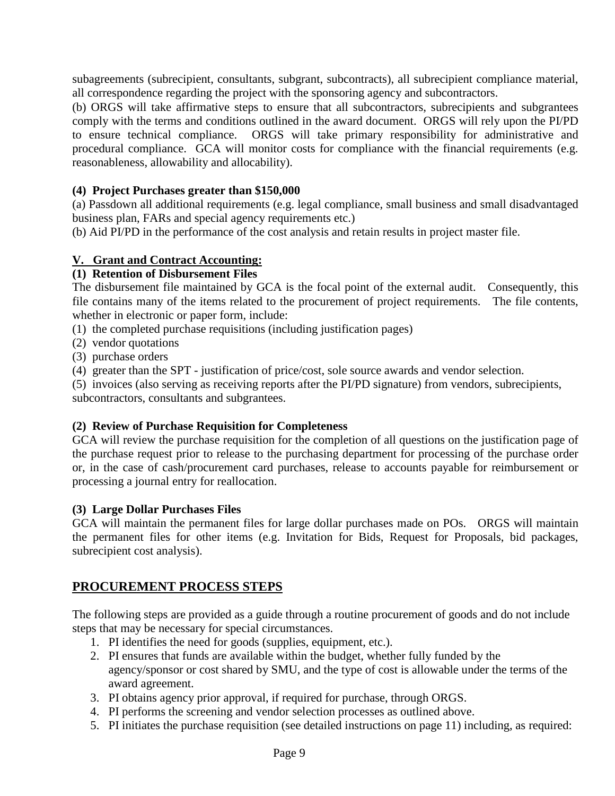subagreements (subrecipient, consultants, subgrant, subcontracts), all subrecipient compliance material, all correspondence regarding the project with the sponsoring agency and subcontractors.

(b) ORGS will take affirmative steps to ensure that all subcontractors, subrecipients and subgrantees comply with the terms and conditions outlined in the award document. ORGS will rely upon the PI/PD to ensure technical compliance. ORGS will take primary responsibility for administrative and procedural compliance. GCA will monitor costs for compliance with the financial requirements (e.g. reasonableness, allowability and allocability).

#### **(4) Project Purchases greater than \$150,000**

(a) Passdown all additional requirements (e.g. legal compliance, small business and small disadvantaged business plan, FARs and special agency requirements etc.)

(b) Aid PI/PD in the performance of the cost analysis and retain results in project master file.

#### **V. Grant and Contract Accounting:**

#### **(1) Retention of Disbursement Files**

The disbursement file maintained by GCA is the focal point of the external audit. Consequently, this file contains many of the items related to the procurement of project requirements. The file contents, whether in electronic or paper form, include:

(1) the completed purchase requisitions (including justification pages)

- (2) vendor quotations
- (3) purchase orders

(4) greater than the SPT - justification of price/cost, sole source awards and vendor selection.

(5) invoices (also serving as receiving reports after the PI/PD signature) from vendors, subrecipients, subcontractors, consultants and subgrantees.

#### **(2) Review of Purchase Requisition for Completeness**

GCA will review the purchase requisition for the completion of all questions on the justification page of the purchase request prior to release to the purchasing department for processing of the purchase order or, in the case of cash/procurement card purchases, release to accounts payable for reimbursement or processing a journal entry for reallocation.

#### **(3) Large Dollar Purchases Files**

GCA will maintain the permanent files for large dollar purchases made on POs. ORGS will maintain the permanent files for other items (e.g. Invitation for Bids, Request for Proposals, bid packages, subrecipient cost analysis).

#### **PROCUREMENT PROCESS STEPS**

The following steps are provided as a guide through a routine procurement of goods and do not include steps that may be necessary for special circumstances.

- 1. PI identifies the need for goods (supplies, equipment, etc.).
- 2. PI ensures that funds are available within the budget, whether fully funded by the agency/sponsor or cost shared by SMU, and the type of cost is allowable under the terms of the award agreement.
- 3. PI obtains agency prior approval, if required for purchase, through ORGS.
- 4. PI performs the screening and vendor selection processes as outlined above.
- 5. PI initiates the purchase requisition (see detailed instructions on page 11) including, as required: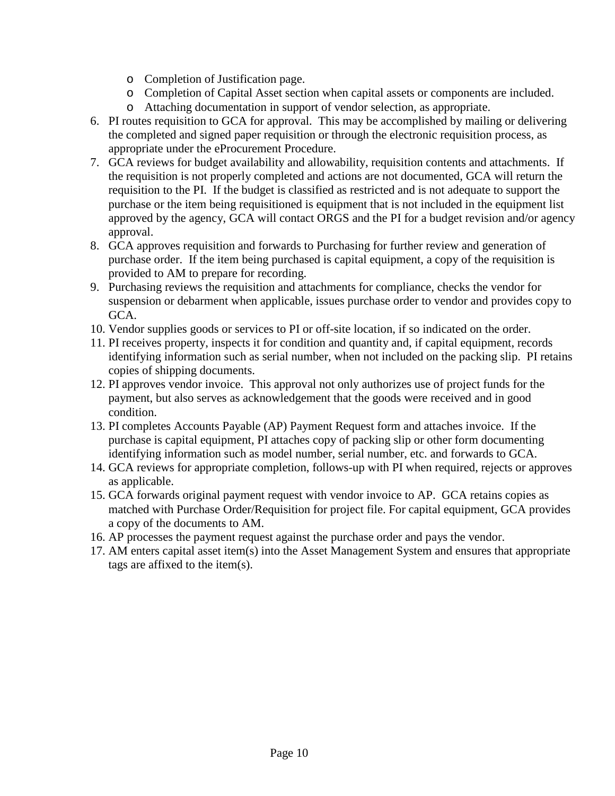- o Completion of Justification page.
- o Completion of Capital Asset section when capital assets or components are included.
- o Attaching documentation in support of vendor selection, as appropriate.
- 6. PI routes requisition to GCA for approval. This may be accomplished by mailing or delivering the completed and signed paper requisition or through the electronic requisition process, as appropriate under the eProcurement Procedure.
- 7. GCA reviews for budget availability and allowability, requisition contents and attachments. If the requisition is not properly completed and actions are not documented, GCA will return the requisition to the PI. If the budget is classified as restricted and is not adequate to support the purchase or the item being requisitioned is equipment that is not included in the equipment list approved by the agency, GCA will contact ORGS and the PI for a budget revision and/or agency approval.
- 8. GCA approves requisition and forwards to Purchasing for further review and generation of purchase order. If the item being purchased is capital equipment, a copy of the requisition is provided to AM to prepare for recording.
- 9. Purchasing reviews the requisition and attachments for compliance, checks the vendor for suspension or debarment when applicable, issues purchase order to vendor and provides copy to GCA.
- 10. Vendor supplies goods or services to PI or off-site location, if so indicated on the order.
- 11. PI receives property, inspects it for condition and quantity and, if capital equipment, records identifying information such as serial number, when not included on the packing slip. PI retains copies of shipping documents.
- 12. PI approves vendor invoice. This approval not only authorizes use of project funds for the payment, but also serves as acknowledgement that the goods were received and in good condition.
- 13. PI completes Accounts Payable (AP) Payment Request form and attaches invoice. If the purchase is capital equipment, PI attaches copy of packing slip or other form documenting identifying information such as model number, serial number, etc. and forwards to GCA.
- 14. GCA reviews for appropriate completion, follows-up with PI when required, rejects or approves as applicable.
- 15. GCA forwards original payment request with vendor invoice to AP. GCA retains copies as matched with Purchase Order/Requisition for project file. For capital equipment, GCA provides a copy of the documents to AM.
- 16. AP processes the payment request against the purchase order and pays the vendor.
- 17. AM enters capital asset item(s) into the Asset Management System and ensures that appropriate tags are affixed to the item(s).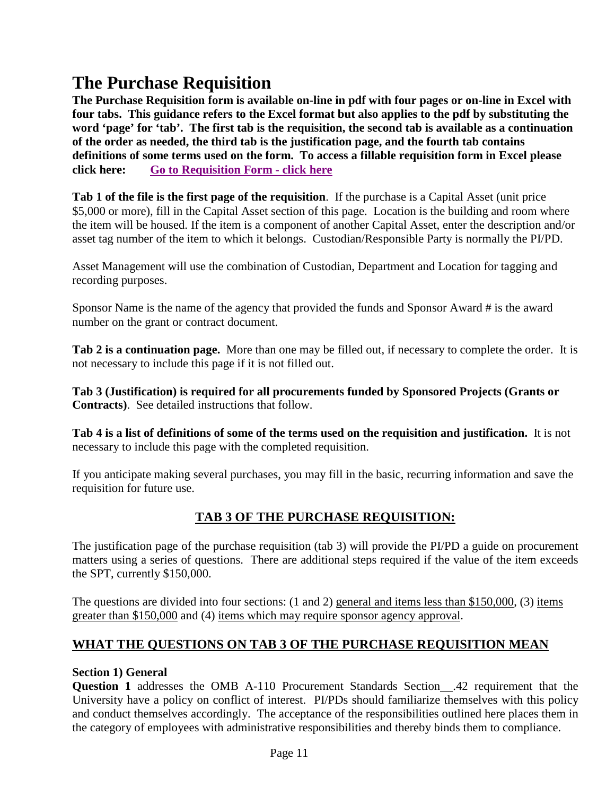# **The Purchase Requisition**

**The Purchase Requisition form is available on-line in pdf with four pages or on-line in Excel with four tabs. This guidance refers to the Excel format but also applies to the pdf by substituting the word 'page' for 'tab'. The first tab is the requisition, the second tab is available as a continuation of the order as needed, the third tab is the justification page, and the fourth tab contains definitions of some terms used on the form. To access a fillable requisition form in Excel please click here: [Go to Requisition Form -](http://www.smu.edu/~/media/Site/BusinessFinance/Controllers/Purchasing/Grant_Pur_Req_Form_XLS.ashx?la=en) click here**

**Tab 1 of the file is the first page of the requisition**. If the purchase is a Capital Asset (unit price \$5,000 or more), fill in the Capital Asset section of this page. Location is the building and room where the item will be housed. If the item is a component of another Capital Asset, enter the description and/or asset tag number of the item to which it belongs. Custodian/Responsible Party is normally the PI/PD.

Asset Management will use the combination of Custodian, Department and Location for tagging and recording purposes.

Sponsor Name is the name of the agency that provided the funds and Sponsor Award # is the award number on the grant or contract document.

**Tab 2 is a continuation page.** More than one may be filled out, if necessary to complete the order. It is not necessary to include this page if it is not filled out.

**Tab 3 (Justification) is required for all procurements funded by Sponsored Projects (Grants or Contracts)**. See detailed instructions that follow.

**Tab 4 is a list of definitions of some of the terms used on the requisition and justification.** It is not necessary to include this page with the completed requisition.

If you anticipate making several purchases, you may fill in the basic, recurring information and save the requisition for future use.

# **TAB 3 OF THE PURCHASE REQUISITION:**

The justification page of the purchase requisition (tab 3) will provide the PI/PD a guide on procurement matters using a series of questions. There are additional steps required if the value of the item exceeds the SPT, currently \$150,000.

The questions are divided into four sections: (1 and 2) general and items less than \$150,000, (3) items greater than \$150,000 and (4) items which may require sponsor agency approval.

# **WHAT THE QUESTIONS ON TAB 3 OF THE PURCHASE REQUISITION MEAN**

#### **Section 1) General**

**Question 1** addresses the OMB A-110 Procurement Standards Section .42 requirement that the University have a policy on conflict of interest. PI/PDs should familiarize themselves with this policy and conduct themselves accordingly. The acceptance of the responsibilities outlined here places them in the category of employees with administrative responsibilities and thereby binds them to compliance.